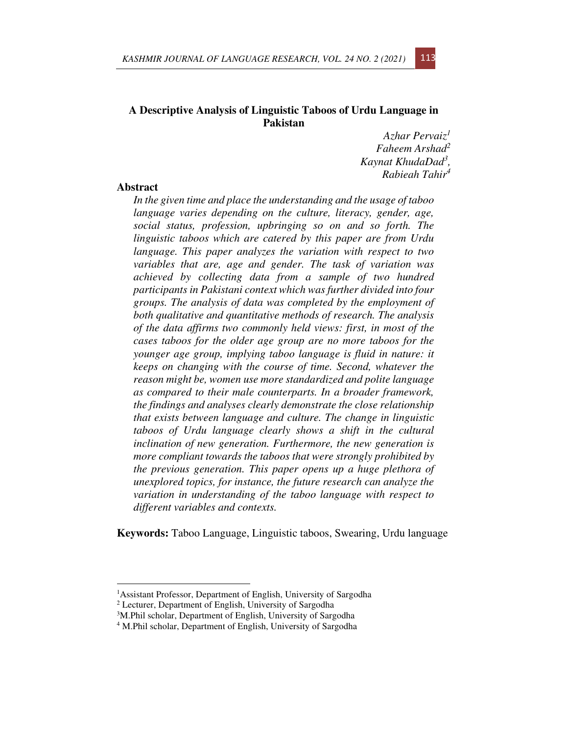# **A Descriptive Analysis of Linguistic Taboos of Urdu Language in Pakistan**

 *Azhar Pervaiz<sup>1</sup> Faheem Arshad<sup>2</sup> Kaynat KhudaDad<sup>3</sup> , Rabieah Tahir<sup>4</sup>*

# **Abstract**

*In the given time and place the understanding and the usage of taboo language varies depending on the culture, literacy, gender, age, social status, profession, upbringing so on and so forth. The linguistic taboos which are catered by this paper are from Urdu language. This paper analyzes the variation with respect to two variables that are, age and gender. The task of variation was achieved by collecting data from a sample of two hundred participants in Pakistani context which was further divided into four groups. The analysis of data was completed by the employment of both qualitative and quantitative methods of research. The analysis of the data affirms two commonly held views: first, in most of the cases taboos for the older age group are no more taboos for the younger age group, implying taboo language is fluid in nature: it keeps on changing with the course of time. Second, whatever the reason might be, women use more standardized and polite language as compared to their male counterparts. In a broader framework, the findings and analyses clearly demonstrate the close relationship that exists between language and culture. The change in linguistic taboos of Urdu language clearly shows a shift in the cultural inclination of new generation. Furthermore, the new generation is more compliant towards the taboos that were strongly prohibited by the previous generation. This paper opens up a huge plethora of unexplored topics, for instance, the future research can analyze the variation in understanding of the taboo language with respect to different variables and contexts.* 

**Keywords:** Taboo Language, Linguistic taboos, Swearing, Urdu language



<sup>&</sup>lt;sup>1</sup>Assistant Professor, Department of English, University of Sargodha

<sup>2</sup> Lecturer, Department of English, University of Sargodha

<sup>3</sup>M.Phil scholar, Department of English, University of Sargodha

<sup>&</sup>lt;sup>4</sup> M.Phil scholar, Department of English, University of Sargodha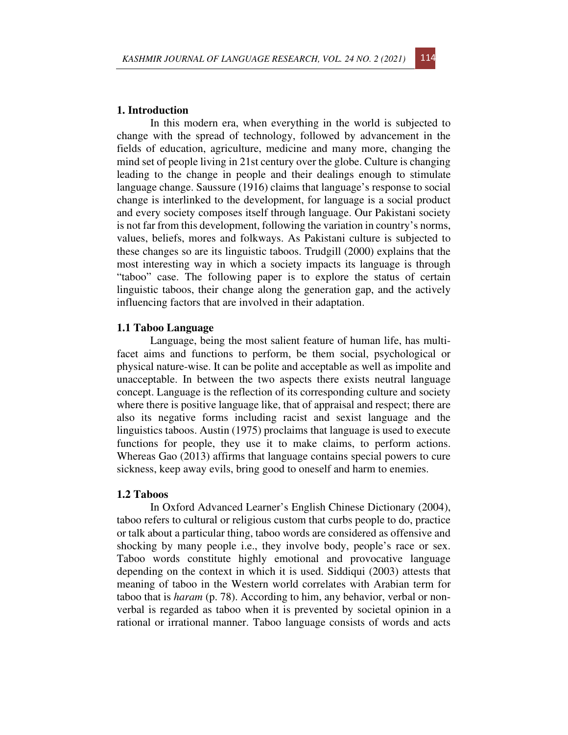In this modern era, when everything in the world is subjected to change with the spread of technology, followed by advancement in the fields of education, agriculture, medicine and many more, changing the mind set of people living in 21st century over the globe. Culture is changing leading to the change in people and their dealings enough to stimulate language change. Saussure (1916) claims that language's response to social change is interlinked to the development, for language is a social product and every society composes itself through language. Our Pakistani society is not far from this development, following the variation in country's norms, values, beliefs, mores and folkways. As Pakistani culture is subjected to these changes so are its linguistic taboos. Trudgill (2000) explains that the most interesting way in which a society impacts its language is through "taboo" case. The following paper is to explore the status of certain linguistic taboos, their change along the generation gap, and the actively influencing factors that are involved in their adaptation.

#### **1.1 Taboo Language**

Language, being the most salient feature of human life, has multifacet aims and functions to perform, be them social, psychological or physical nature-wise. It can be polite and acceptable as well as impolite and unacceptable. In between the two aspects there exists neutral language concept. Language is the reflection of its corresponding culture and society where there is positive language like, that of appraisal and respect; there are also its negative forms including racist and sexist language and the linguistics taboos. Austin (1975) proclaims that language is used to execute functions for people, they use it to make claims, to perform actions. Whereas Gao (2013) affirms that language contains special powers to cure sickness, keep away evils, bring good to oneself and harm to enemies.

## **1.2 Taboos**

In Oxford Advanced Learner's English Chinese Dictionary (2004), taboo refers to cultural or religious custom that curbs people to do, practice or talk about a particular thing, taboo words are considered as offensive and shocking by many people i.e., they involve body, people's race or sex. Taboo words constitute highly emotional and provocative language depending on the context in which it is used. Siddiqui (2003) attests that meaning of taboo in the Western world correlates with Arabian term for taboo that is *haram* (p. 78). According to him, any behavior, verbal or nonverbal is regarded as taboo when it is prevented by societal opinion in a rational or irrational manner. Taboo language consists of words and acts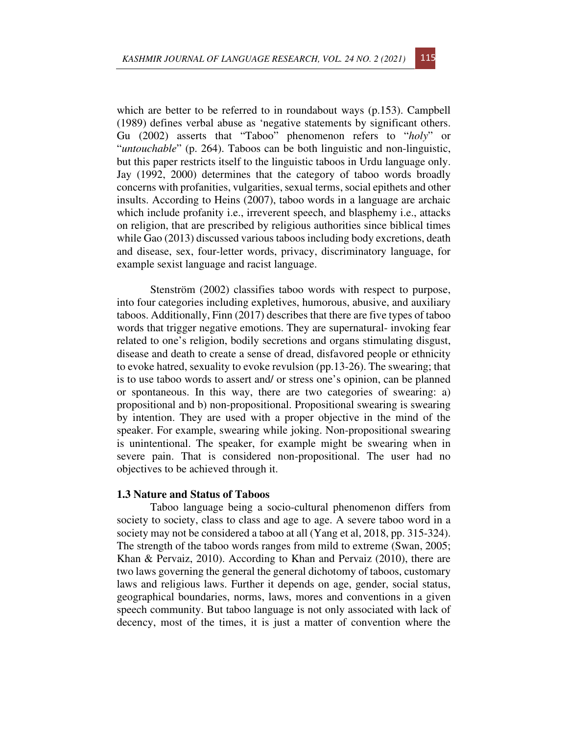which are better to be referred to in roundabout ways (p.153). Campbell (1989) defines verbal abuse as 'negative statements by significant others. Gu (2002) asserts that "Taboo" phenomenon refers to "*holy*" or "*untouchable*" (p. 264). Taboos can be both linguistic and non-linguistic, but this paper restricts itself to the linguistic taboos in Urdu language only. Jay (1992, 2000) determines that the category of taboo words broadly concerns with profanities, vulgarities, sexual terms, social epithets and other insults. According to Heins (2007), taboo words in a language are archaic which include profanity i.e., irreverent speech, and blasphemy i.e., attacks on religion, that are prescribed by religious authorities since biblical times while Gao (2013) discussed various taboos including body excretions, death and disease, sex, four-letter words, privacy, discriminatory language, for example sexist language and racist language.

Stenström (2002) classifies taboo words with respect to purpose, into four categories including expletives, humorous, abusive, and auxiliary taboos. Additionally, Finn (2017) describes that there are five types of taboo words that trigger negative emotions. They are supernatural- invoking fear related to one's religion, bodily secretions and organs stimulating disgust, disease and death to create a sense of dread, disfavored people or ethnicity to evoke hatred, sexuality to evoke revulsion (pp.13-26). The swearing; that is to use taboo words to assert and/ or stress one's opinion, can be planned or spontaneous. In this way, there are two categories of swearing: a) propositional and b) non-propositional. Propositional swearing is swearing by intention. They are used with a proper objective in the mind of the speaker. For example, swearing while joking. Non-propositional swearing is unintentional. The speaker, for example might be swearing when in severe pain. That is considered non-propositional. The user had no objectives to be achieved through it.

## **1.3 Nature and Status of Taboos**

Taboo language being a socio-cultural phenomenon differs from society to society, class to class and age to age. A severe taboo word in a society may not be considered a taboo at all (Yang et al, 2018, pp. 315-324). The strength of the taboo words ranges from mild to extreme (Swan, 2005; Khan & Pervaiz, 2010). According to Khan and Pervaiz (2010), there are two laws governing the general the general dichotomy of taboos, customary laws and religious laws. Further it depends on age, gender, social status, geographical boundaries, norms, laws, mores and conventions in a given speech community. But taboo language is not only associated with lack of decency, most of the times, it is just a matter of convention where the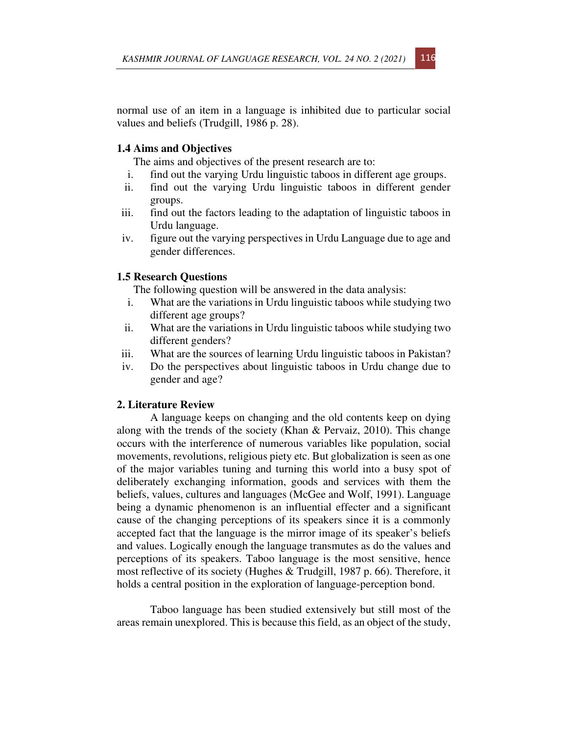normal use of an item in a language is inhibited due to particular social values and beliefs (Trudgill, 1986 p. 28).

## **1.4 Aims and Objectives**

The aims and objectives of the present research are to:

- i. find out the varying Urdu linguistic taboos in different age groups.
- ii. find out the varying Urdu linguistic taboos in different gender groups.
- iii. find out the factors leading to the adaptation of linguistic taboos in Urdu language.
- iv. figure out the varying perspectives in Urdu Language due to age and gender differences.

## **1.5 Research Questions**

The following question will be answered in the data analysis:

- i. What are the variations in Urdu linguistic taboos while studying two different age groups?
- ii. What are the variations in Urdu linguistic taboos while studying two different genders?
- iii. What are the sources of learning Urdu linguistic taboos in Pakistan?
- iv. Do the perspectives about linguistic taboos in Urdu change due to gender and age?

# **2. Literature Review**

A language keeps on changing and the old contents keep on dying along with the trends of the society (Khan & Pervaiz, 2010). This change occurs with the interference of numerous variables like population, social movements, revolutions, religious piety etc. But globalization is seen as one of the major variables tuning and turning this world into a busy spot of deliberately exchanging information, goods and services with them the beliefs, values, cultures and languages (McGee and Wolf, 1991). Language being a dynamic phenomenon is an influential effecter and a significant cause of the changing perceptions of its speakers since it is a commonly accepted fact that the language is the mirror image of its speaker's beliefs and values. Logically enough the language transmutes as do the values and perceptions of its speakers. Taboo language is the most sensitive, hence most reflective of its society (Hughes & Trudgill, 1987 p. 66). Therefore, it holds a central position in the exploration of language-perception bond.

Taboo language has been studied extensively but still most of the areas remain unexplored. This is because this field, as an object of the study,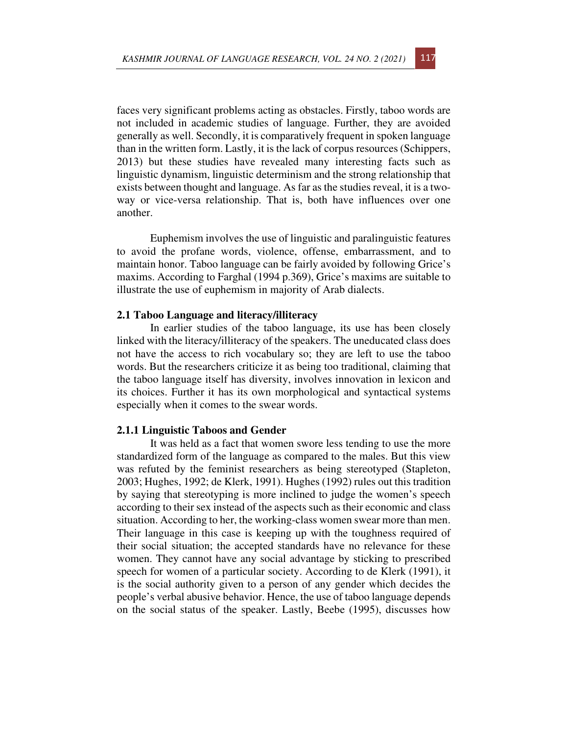faces very significant problems acting as obstacles. Firstly, taboo words are not included in academic studies of language. Further, they are avoided generally as well. Secondly, it is comparatively frequent in spoken language than in the written form. Lastly, it is the lack of corpus resources (Schippers, 2013) but these studies have revealed many interesting facts such as linguistic dynamism, linguistic determinism and the strong relationship that exists between thought and language. As far as the studies reveal, it is a twoway or vice-versa relationship. That is, both have influences over one another.

Euphemism involves the use of linguistic and paralinguistic features to avoid the profane words, violence, offense, embarrassment, and to maintain honor. Taboo language can be fairly avoided by following Grice's maxims. According to Farghal (1994 p.369), Grice's maxims are suitable to illustrate the use of euphemism in majority of Arab dialects.

#### **2.1 Taboo Language and literacy/illiteracy**

In earlier studies of the taboo language, its use has been closely linked with the literacy/illiteracy of the speakers. The uneducated class does not have the access to rich vocabulary so; they are left to use the taboo words. But the researchers criticize it as being too traditional, claiming that the taboo language itself has diversity, involves innovation in lexicon and its choices. Further it has its own morphological and syntactical systems especially when it comes to the swear words.

#### **2.1.1 Linguistic Taboos and Gender**

It was held as a fact that women swore less tending to use the more standardized form of the language as compared to the males. But this view was refuted by the feminist researchers as being stereotyped (Stapleton, 2003; Hughes, 1992; de Klerk, 1991). Hughes (1992) rules out this tradition by saying that stereotyping is more inclined to judge the women's speech according to their sex instead of the aspects such as their economic and class situation. According to her, the working-class women swear more than men. Their language in this case is keeping up with the toughness required of their social situation; the accepted standards have no relevance for these women. They cannot have any social advantage by sticking to prescribed speech for women of a particular society. According to de Klerk (1991), it is the social authority given to a person of any gender which decides the people's verbal abusive behavior. Hence, the use of taboo language depends on the social status of the speaker. Lastly, Beebe (1995), discusses how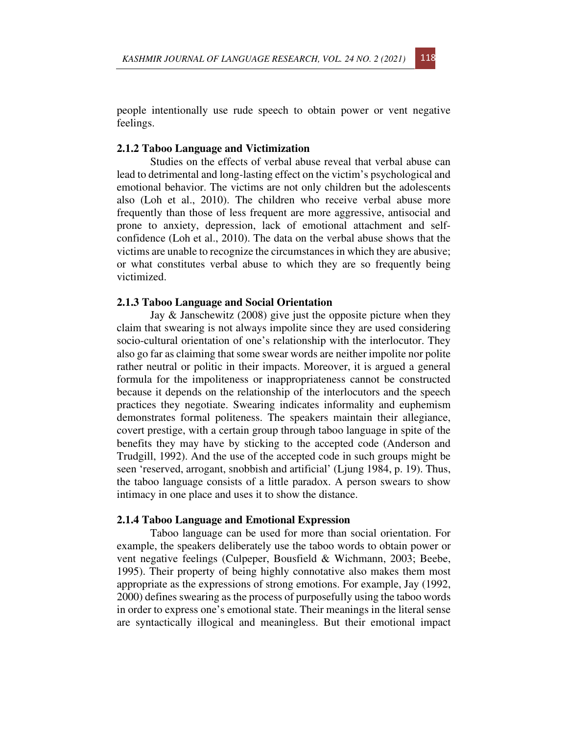people intentionally use rude speech to obtain power or vent negative feelings.

# **2.1.2 Taboo Language and Victimization**

Studies on the effects of verbal abuse reveal that verbal abuse can lead to detrimental and long-lasting effect on the victim's psychological and emotional behavior. The victims are not only children but the adolescents also (Loh et al., 2010). The children who receive verbal abuse more frequently than those of less frequent are more aggressive, antisocial and prone to anxiety, depression, lack of emotional attachment and selfconfidence (Loh et al., 2010). The data on the verbal abuse shows that the victims are unable to recognize the circumstances in which they are abusive; or what constitutes verbal abuse to which they are so frequently being victimized.

#### **2.1.3 Taboo Language and Social Orientation**

Jay & Janschewitz (2008) give just the opposite picture when they claim that swearing is not always impolite since they are used considering socio-cultural orientation of one's relationship with the interlocutor. They also go far as claiming that some swear words are neither impolite nor polite rather neutral or politic in their impacts. Moreover, it is argued a general formula for the impoliteness or inappropriateness cannot be constructed because it depends on the relationship of the interlocutors and the speech practices they negotiate. Swearing indicates informality and euphemism demonstrates formal politeness. The speakers maintain their allegiance, covert prestige, with a certain group through taboo language in spite of the benefits they may have by sticking to the accepted code (Anderson and Trudgill, 1992). And the use of the accepted code in such groups might be seen 'reserved, arrogant, snobbish and artificial' (Ljung 1984, p. 19). Thus, the taboo language consists of a little paradox. A person swears to show intimacy in one place and uses it to show the distance.

#### **2.1.4 Taboo Language and Emotional Expression**

Taboo language can be used for more than social orientation. For example, the speakers deliberately use the taboo words to obtain power or vent negative feelings (Culpeper, Bousfield & Wichmann, 2003; Beebe, 1995). Their property of being highly connotative also makes them most appropriate as the expressions of strong emotions. For example, Jay (1992, 2000) defines swearing as the process of purposefully using the taboo words in order to express one's emotional state. Their meanings in the literal sense are syntactically illogical and meaningless. But their emotional impact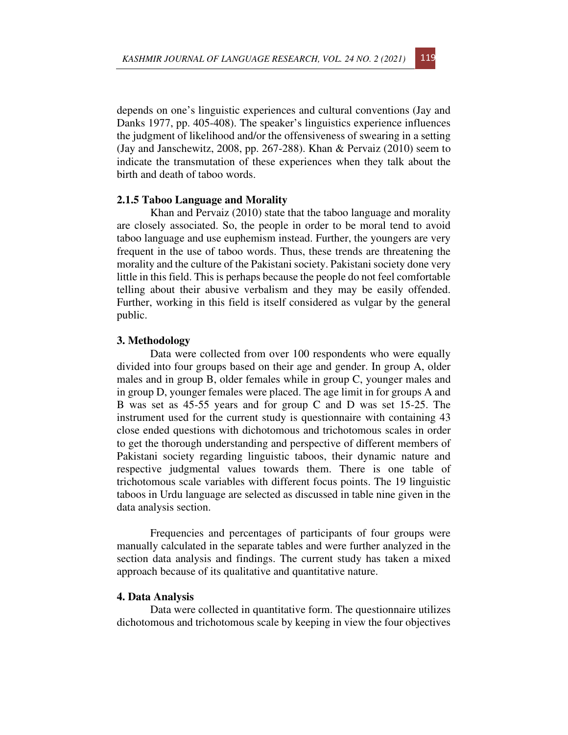depends on one's linguistic experiences and cultural conventions (Jay and Danks 1977, pp. 405-408). The speaker's linguistics experience influences the judgment of likelihood and/or the offensiveness of swearing in a setting (Jay and Janschewitz, 2008, pp. 267-288). Khan & Pervaiz (2010) seem to indicate the transmutation of these experiences when they talk about the birth and death of taboo words.

## **2.1.5 Taboo Language and Morality**

Khan and Pervaiz (2010) state that the taboo language and morality are closely associated. So, the people in order to be moral tend to avoid taboo language and use euphemism instead. Further, the youngers are very frequent in the use of taboo words. Thus, these trends are threatening the morality and the culture of the Pakistani society. Pakistani society done very little in this field. This is perhaps because the people do not feel comfortable telling about their abusive verbalism and they may be easily offended. Further, working in this field is itself considered as vulgar by the general public.

## **3. Methodology**

Data were collected from over 100 respondents who were equally divided into four groups based on their age and gender. In group A, older males and in group B, older females while in group C, younger males and in group D, younger females were placed. The age limit in for groups A and B was set as 45-55 years and for group C and D was set 15-25. The instrument used for the current study is questionnaire with containing 43 close ended questions with dichotomous and trichotomous scales in order to get the thorough understanding and perspective of different members of Pakistani society regarding linguistic taboos, their dynamic nature and respective judgmental values towards them. There is one table of trichotomous scale variables with different focus points. The 19 linguistic taboos in Urdu language are selected as discussed in table nine given in the data analysis section.

Frequencies and percentages of participants of four groups were manually calculated in the separate tables and were further analyzed in the section data analysis and findings. The current study has taken a mixed approach because of its qualitative and quantitative nature.

## **4. Data Analysis**

Data were collected in quantitative form. The questionnaire utilizes dichotomous and trichotomous scale by keeping in view the four objectives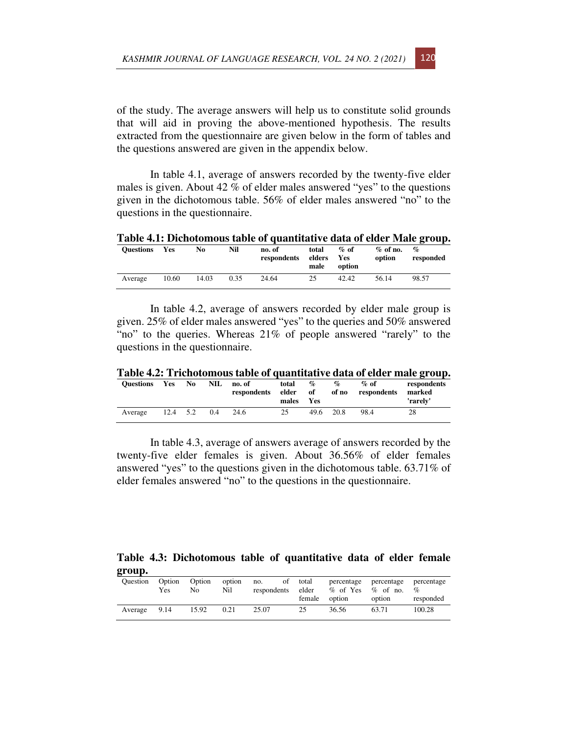of the study. The average answers will help us to constitute solid grounds that will aid in proving the above-mentioned hypothesis. The results extracted from the questionnaire are given below in the form of tables and the questions answered are given in the appendix below.

In table 4.1, average of answers recorded by the twenty-five elder males is given. About 42 % of elder males answered "yes" to the questions given in the dichotomous table. 56% of elder males answered "no" to the questions in the questionnaire.

**Table 4.1: Dichotomous table of quantitative data of elder Male group.** 

| <b>Ouestions</b> | Yes   | No    | Nil  | no. of<br>respondents | total<br>elders<br>male | $%$ of<br>Yes<br>option | $\%$ of no.<br>option | $\mathcal{O}_n$<br>responded |
|------------------|-------|-------|------|-----------------------|-------------------------|-------------------------|-----------------------|------------------------------|
| Average          | 10.60 | 14.03 | 0.35 | 24.64                 | 25                      | 42.42                   | 56.14                 | 98.57                        |

In table 4.2, average of answers recorded by elder male group is given. 25% of elder males answered "yes" to the queries and 50% answered "no" to the queries. Whereas 21% of people answered "rarely" to the questions in the questionnaire.

**Table 4.2: Trichotomous table of quantitative data of elder male group.** 

| <b>Ouestions</b> | <b>Yes</b> | N <sub>0</sub> | NIL. | no. of<br>respondents | total<br>elder<br>males | $\%$<br>of<br>Yes | $\%$<br>of no | $%$ of<br>respondents | respondents<br>marked<br>'rarely' |
|------------------|------------|----------------|------|-----------------------|-------------------------|-------------------|---------------|-----------------------|-----------------------------------|
| Average          | 12.4 5.2   |                | 0.4  | 24.6                  | 25                      | 49.6              | 20.8          | 98.4                  | 28                                |

In table 4.3, average of answers average of answers recorded by the twenty-five elder females is given. About 36.56% of elder females answered "yes" to the questions given in the dichotomous table. 63.71% of elder females answered "no" to the questions in the questionnaire.

# **Table 4.3: Dichotomous table of quantitative data of elder female group.**

| <b>Ouestion</b> | Yes  | Option Option<br>No | Nil  | option no. of total<br>respondents | elder<br>female | option | percentage percentage<br>$\%$ of Yes $\%$ of no.<br>option | percentage<br>$\%$<br>responded |
|-----------------|------|---------------------|------|------------------------------------|-----------------|--------|------------------------------------------------------------|---------------------------------|
| Average         | 9.14 | 15.92               | 0.21 | 25.07                              | 25              | 36.56  | 63.71                                                      | 100.28                          |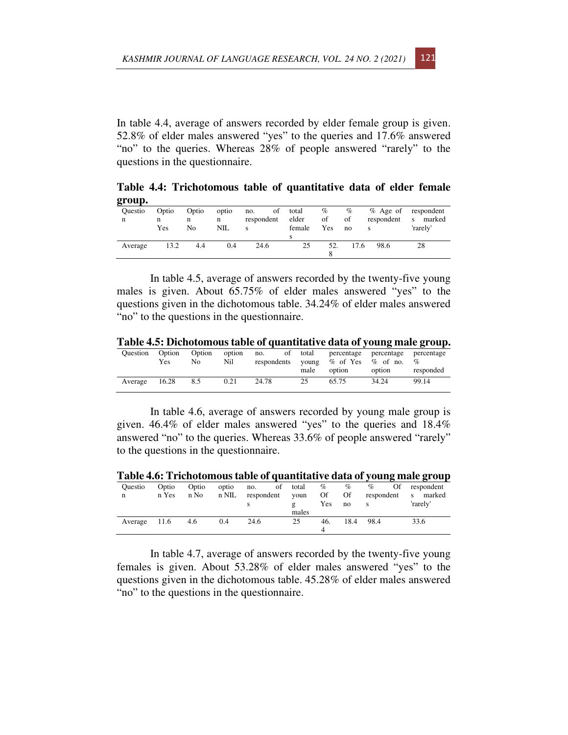In table 4.4, average of answers recorded by elder female group is given. 52.8% of elder males answered "yes" to the queries and 17.6% answered "no" to the queries. Whereas 28% of people answered "rarely" to the questions in the questionnaire.

**Table 4.4: Trichotomous table of quantitative data of elder female group.** 

| <b>Ouestio</b> | Optio | Optio | optio | of<br>no.  | total  | $\%$ | $\%$ |            | % Age of respondent |
|----------------|-------|-------|-------|------------|--------|------|------|------------|---------------------|
| n              | n     | n     | n     | respondent | elder  | of   | of   | respondent | s marked            |
|                | Yes   | No    | NIL   | s          | female | Yes  | no   |            | 'rarely'            |
|                |       |       |       |            |        |      |      |            |                     |
| Average        | 13.2  | 4.4   | 0.4   | 24.6       | 25     | 52.  | 17.6 | 98.6       | 28                  |
|                |       |       |       |            |        |      |      |            |                     |

In table 4.5, average of answers recorded by the twenty-five young males is given. About 65.75% of elder males answered "yes" to the questions given in the dichotomous table. 34.24% of elder males answered "no" to the questions in the questionnaire.

**Table 4.5: Dichotomous table of quantitative data of young male group.** 

| <b>Ouestion</b> | Option | Option | option | no. of total percentage percentage percentage |      |                                                     |        |                   |
|-----------------|--------|--------|--------|-----------------------------------------------|------|-----------------------------------------------------|--------|-------------------|
|                 | Yes    | No.    | Nil    |                                               | male | respondents young $\%$ of Yes $\%$ of no.<br>option | option | $\%$<br>responded |
| Average         | 16.28  | 8.5    | 0.21   | 24.78                                         | 25   | 65.75                                               | 34.24  | 99.14             |

In table 4.6, average of answers recorded by young male group is given. 46.4% of elder males answered "yes" to the queries and 18.4% answered "no" to the queries. Whereas 33.6% of people answered "rarely" to the questions in the questionnaire.

|         |       |       |       |            |    |       |      |      |            |    | Table 7.0. THenotomous table of quantitative uata of voung male group |
|---------|-------|-------|-------|------------|----|-------|------|------|------------|----|-----------------------------------------------------------------------|
| Ouestio | Optio | Optio | optio | no.        | οf | total | $\%$ | $\%$ | %          | Of | respondent                                                            |
| n       | n Yes | n No  | n NIL | respondent |    | voun  | Of   | Of   | respondent |    | marked<br>S                                                           |
|         |       |       |       |            |    |       | Yes  | no   |            |    | 'rarely'                                                              |
|         |       |       |       |            |    | males |      |      |            |    |                                                                       |
| Average | 11.6  | 4.6   | 0.4   | 24.6       |    | 25    | 46.  | 18.4 | 98.4       |    | 33.6                                                                  |
|         |       |       |       |            |    |       | 4    |      |            |    |                                                                       |

**Table 4.6: Trichotomous table of quantitative data of young male group** 

In table 4.7, average of answers recorded by the twenty-five young females is given. About 53.28% of elder males answered "yes" to the questions given in the dichotomous table. 45.28% of elder males answered "no" to the questions in the questionnaire.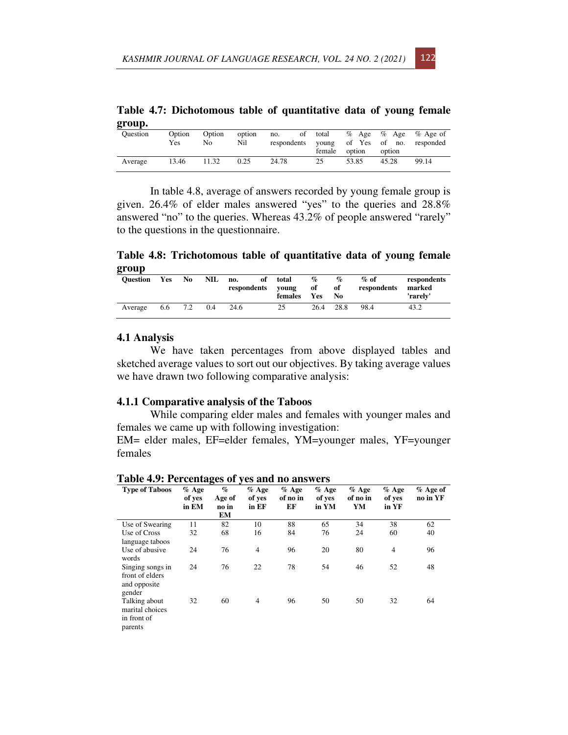**Table 4.7: Dichotomous table of quantitative data of young female group.** 

| <b>Ouestion</b> | Option<br>Yes | Option<br>No | option<br>Nil | - of<br>no.<br>respondents | total  |        |        | $%$ Age $%$ Age $%$ Age of<br>young of Yes of no. responded |
|-----------------|---------------|--------------|---------------|----------------------------|--------|--------|--------|-------------------------------------------------------------|
|                 |               |              |               |                            | female | option | option |                                                             |
| Average         | 13.46         | 11.32        | 0.25          | 24.78                      | 25     | 53.85  | 45.28  | 99.14                                                       |

In table 4.8, average of answers recorded by young female group is given. 26.4% of elder males answered "yes" to the queries and 28.8% answered "no" to the queries. Whereas 43.2% of people answered "rarely" to the questions in the questionnaire.

**Table 4.8: Trichotomous table of quantitative data of young female group** 

| <b>Ouestion</b> | <b>Yes</b> | N <sub>0</sub> | NIL. | no.<br>respondents | of total<br>voung<br>females | $\%$<br>оf<br><b>Yes</b> | $\%$<br>of<br>No | $%$ of<br>respondents | respondents<br>marked<br>'rarelv' |
|-----------------|------------|----------------|------|--------------------|------------------------------|--------------------------|------------------|-----------------------|-----------------------------------|
| Average         | 6.6        | 7.2            | 0.4  | 24.6               | 25                           | 26.4                     | 28.8             | 98.4                  | 43.2                              |

# **4.1 Analysis**

We have taken percentages from above displayed tables and sketched average values to sort out our objectives. By taking average values we have drawn two following comparative analysis:

#### **4.1.1 Comparative analysis of the Taboos**

While comparing elder males and females with younger males and females we came up with following investigation:

EM= elder males, EF=elder females, YM=younger males, YF=younger females

**Table 4.9: Percentages of yes and no answers** 

| Table 4.7. I creentages or yes and no answers                 |                            |                               |                                        |                           |                            |                           |                            |                        |
|---------------------------------------------------------------|----------------------------|-------------------------------|----------------------------------------|---------------------------|----------------------------|---------------------------|----------------------------|------------------------|
| <b>Type of Taboos</b>                                         | $%$ Age<br>of yes<br>in EM | $\%$<br>Age of<br>no in<br>EM | $\overline{\%}$ Age<br>of yes<br>in EF | $%$ Age<br>of no in<br>EF | $%$ Age<br>of yes<br>in YM | $%$ Age<br>of no in<br>YM | $%$ Age<br>of yes<br>in YF | $%$ Age of<br>no in YF |
| Use of Swearing                                               | 11                         | 82                            | 10                                     | 88                        | 65                         | 34                        | 38                         | 62                     |
| Use of Cross                                                  | 32                         | 68                            | 16                                     | 84                        | 76                         | 24                        | 60                         | 40                     |
| language taboos<br>Use of abusive<br>words                    | 24                         | 76                            | $\overline{4}$                         | 96                        | 20                         | 80                        | $\overline{4}$             | 96                     |
| Singing songs in<br>front of elders<br>and opposite<br>gender | 24                         | 76                            | 22                                     | 78                        | 54                         | 46                        | 52                         | 48                     |
| Talking about<br>marital choices<br>in front of<br>parents    | 32                         | 60                            | $\overline{4}$                         | 96                        | 50                         | 50                        | 32                         | 64                     |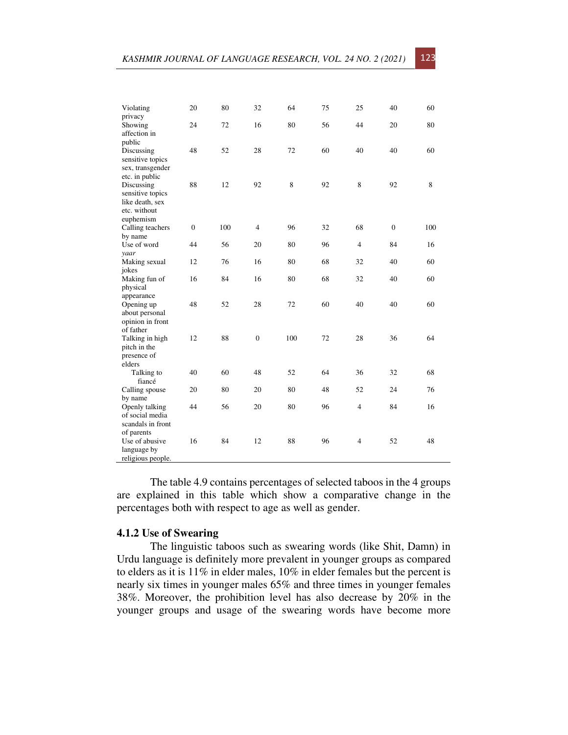| Violating                                                                           | 20               | 80  | 32               | 64  | 75 | 25             | 40               | 60  |
|-------------------------------------------------------------------------------------|------------------|-----|------------------|-----|----|----------------|------------------|-----|
| privacy<br>Showing<br>affection in                                                  | 24               | 72  | 16               | 80  | 56 | 44             | 20               | 80  |
| public<br>Discussing<br>sensitive topics<br>sex, transgender                        | 48               | 52  | 28               | 72  | 60 | 40             | 40               | 60  |
| etc. in public<br>Discussing<br>sensitive topics<br>like death, sex<br>etc. without | 88               | 12  | 92               | 8   | 92 | 8              | 92               | 8   |
| euphemism<br>Calling teachers<br>by name                                            | $\boldsymbol{0}$ | 100 | $\overline{4}$   | 96  | 32 | 68             | $\boldsymbol{0}$ | 100 |
| Use of word<br>vaar                                                                 | 44               | 56  | 20               | 80  | 96 | $\overline{4}$ | 84               | 16  |
| Making sexual<br>jokes                                                              | 12               | 76  | 16               | 80  | 68 | 32             | 40               | 60  |
| Making fun of<br>physical                                                           | 16               | 84  | 16               | 80  | 68 | 32             | 40               | 60  |
| appearance<br>Opening up<br>about personal<br>opinion in front                      | 48               | 52  | 28               | 72  | 60 | 40             | 40               | 60  |
| of father<br>Talking in high<br>pitch in the<br>presence of                         | 12               | 88  | $\boldsymbol{0}$ | 100 | 72 | 28             | 36               | 64  |
| elders<br>Talking to<br>fiancé                                                      | 40               | 60  | 48               | 52  | 64 | 36             | 32               | 68  |
| Calling spouse<br>by name                                                           | 20               | 80  | 20               | 80  | 48 | 52             | 24               | 76  |
| Openly talking<br>of social media<br>scandals in front                              | 44               | 56  | 20               | 80  | 96 | $\overline{4}$ | 84               | 16  |
| of parents<br>Use of abusive<br>language by<br>religious people.                    | 16               | 84  | 12               | 88  | 96 | $\overline{4}$ | 52               | 48  |

The table 4.9 contains percentages of selected taboos in the 4 groups are explained in this table which show a comparative change in the percentages both with respect to age as well as gender.

# **4.1.2 Use of Swearing**

The linguistic taboos such as swearing words (like Shit, Damn) in Urdu language is definitely more prevalent in younger groups as compared to elders as it is 11% in elder males, 10% in elder females but the percent is nearly six times in younger males 65% and three times in younger females 38%. Moreover, the prohibition level has also decrease by 20% in the younger groups and usage of the swearing words have become more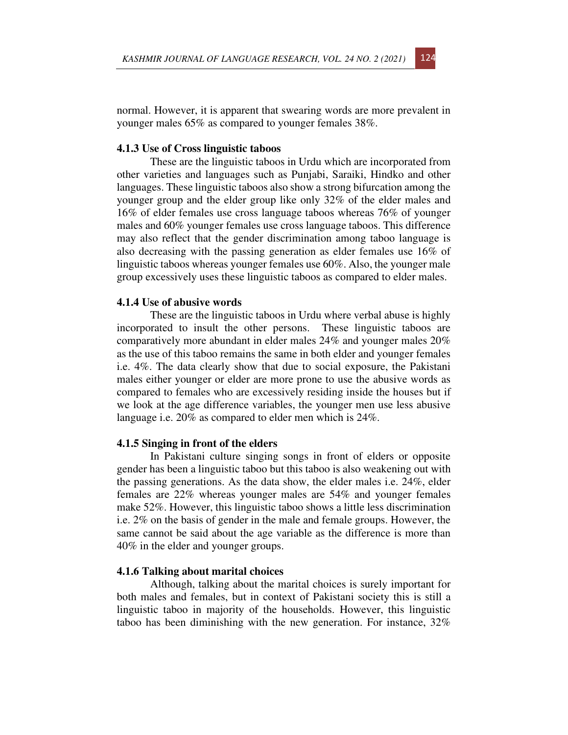

#### **4.1.3 Use of Cross linguistic taboos**

These are the linguistic taboos in Urdu which are incorporated from other varieties and languages such as Punjabi, Saraiki, Hindko and other languages. These linguistic taboos also show a strong bifurcation among the younger group and the elder group like only 32% of the elder males and 16% of elder females use cross language taboos whereas 76% of younger males and 60% younger females use cross language taboos. This difference may also reflect that the gender discrimination among taboo language is also decreasing with the passing generation as elder females use 16% of linguistic taboos whereas younger females use 60%. Also, the younger male group excessively uses these linguistic taboos as compared to elder males.

## **4.1.4 Use of abusive words**

These are the linguistic taboos in Urdu where verbal abuse is highly incorporated to insult the other persons. These linguistic taboos are comparatively more abundant in elder males 24% and younger males 20% as the use of this taboo remains the same in both elder and younger females i.e. 4%. The data clearly show that due to social exposure, the Pakistani males either younger or elder are more prone to use the abusive words as compared to females who are excessively residing inside the houses but if we look at the age difference variables, the younger men use less abusive language i.e. 20% as compared to elder men which is 24%.

#### **4.1.5 Singing in front of the elders**

In Pakistani culture singing songs in front of elders or opposite gender has been a linguistic taboo but this taboo is also weakening out with the passing generations. As the data show, the elder males i.e. 24%, elder females are 22% whereas younger males are 54% and younger females make 52%. However, this linguistic taboo shows a little less discrimination i.e. 2% on the basis of gender in the male and female groups. However, the same cannot be said about the age variable as the difference is more than 40% in the elder and younger groups.

#### **4.1.6 Talking about marital choices**

Although, talking about the marital choices is surely important for both males and females, but in context of Pakistani society this is still a linguistic taboo in majority of the households. However, this linguistic taboo has been diminishing with the new generation. For instance, 32%

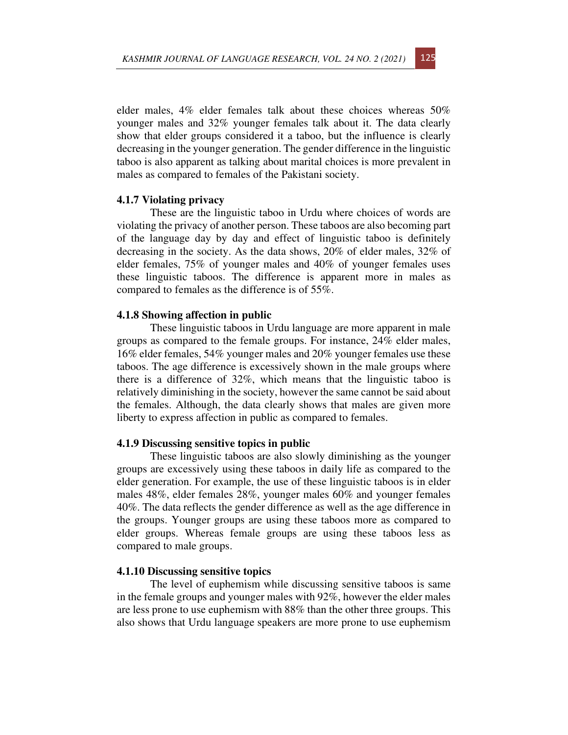elder males, 4% elder females talk about these choices whereas 50% younger males and 32% younger females talk about it. The data clearly show that elder groups considered it a taboo, but the influence is clearly decreasing in the younger generation. The gender difference in the linguistic taboo is also apparent as talking about marital choices is more prevalent in males as compared to females of the Pakistani society.

#### **4.1.7 Violating privacy**

These are the linguistic taboo in Urdu where choices of words are violating the privacy of another person. These taboos are also becoming part of the language day by day and effect of linguistic taboo is definitely decreasing in the society. As the data shows, 20% of elder males, 32% of elder females, 75% of younger males and 40% of younger females uses these linguistic taboos. The difference is apparent more in males as compared to females as the difference is of 55%.

#### **4.1.8 Showing affection in public**

These linguistic taboos in Urdu language are more apparent in male groups as compared to the female groups. For instance, 24% elder males, 16% elder females, 54% younger males and 20% younger females use these taboos. The age difference is excessively shown in the male groups where there is a difference of 32%, which means that the linguistic taboo is relatively diminishing in the society, however the same cannot be said about the females. Although, the data clearly shows that males are given more liberty to express affection in public as compared to females.

#### **4.1.9 Discussing sensitive topics in public**

These linguistic taboos are also slowly diminishing as the younger groups are excessively using these taboos in daily life as compared to the elder generation. For example, the use of these linguistic taboos is in elder males 48%, elder females 28%, younger males 60% and younger females 40%. The data reflects the gender difference as well as the age difference in the groups. Younger groups are using these taboos more as compared to elder groups. Whereas female groups are using these taboos less as compared to male groups.

#### **4.1.10 Discussing sensitive topics**

The level of euphemism while discussing sensitive taboos is same in the female groups and younger males with 92%, however the elder males are less prone to use euphemism with 88% than the other three groups. This also shows that Urdu language speakers are more prone to use euphemism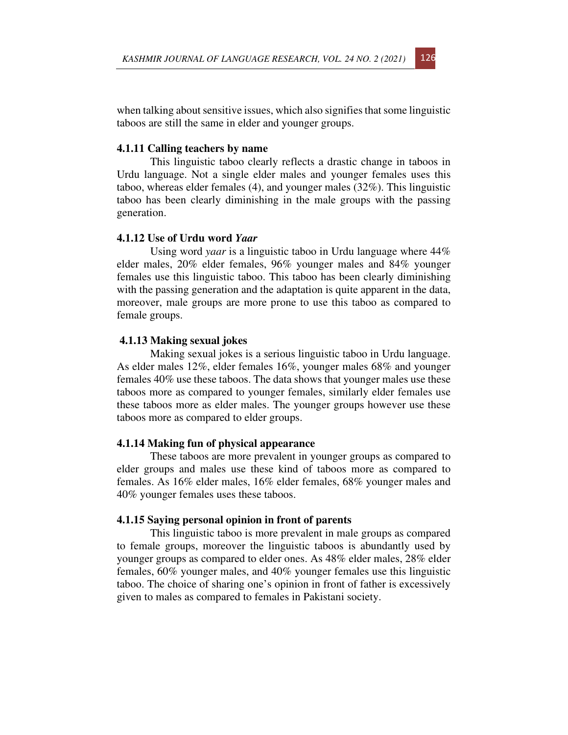when talking about sensitive issues, which also signifies that some linguistic taboos are still the same in elder and younger groups.

#### **4.1.11 Calling teachers by name**

This linguistic taboo clearly reflects a drastic change in taboos in Urdu language. Not a single elder males and younger females uses this taboo, whereas elder females (4), and younger males (32%). This linguistic taboo has been clearly diminishing in the male groups with the passing generation.

#### **4.1.12 Use of Urdu word** *Yaar*

Using word *yaar* is a linguistic taboo in Urdu language where 44% elder males, 20% elder females, 96% younger males and 84% younger females use this linguistic taboo. This taboo has been clearly diminishing with the passing generation and the adaptation is quite apparent in the data, moreover, male groups are more prone to use this taboo as compared to female groups.

#### **4.1.13 Making sexual jokes**

Making sexual jokes is a serious linguistic taboo in Urdu language. As elder males 12%, elder females 16%, younger males 68% and younger females 40% use these taboos. The data shows that younger males use these taboos more as compared to younger females, similarly elder females use these taboos more as elder males. The younger groups however use these taboos more as compared to elder groups.

#### **4.1.14 Making fun of physical appearance**

These taboos are more prevalent in younger groups as compared to elder groups and males use these kind of taboos more as compared to females. As 16% elder males, 16% elder females, 68% younger males and 40% younger females uses these taboos.

#### **4.1.15 Saying personal opinion in front of parents**

This linguistic taboo is more prevalent in male groups as compared to female groups, moreover the linguistic taboos is abundantly used by younger groups as compared to elder ones. As 48% elder males, 28% elder females, 60% younger males, and 40% younger females use this linguistic taboo. The choice of sharing one's opinion in front of father is excessively given to males as compared to females in Pakistani society.

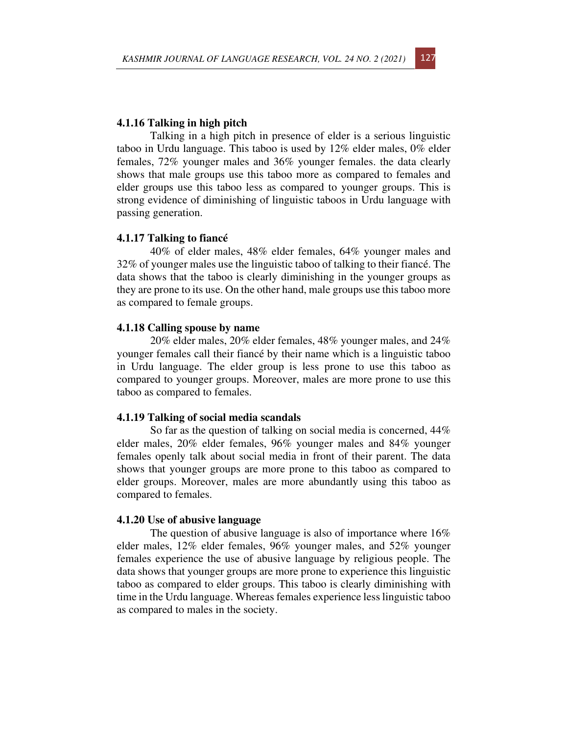# **4.1.16 Talking in high pitch**

Talking in a high pitch in presence of elder is a serious linguistic taboo in Urdu language. This taboo is used by 12% elder males, 0% elder females, 72% younger males and 36% younger females. the data clearly shows that male groups use this taboo more as compared to females and elder groups use this taboo less as compared to younger groups. This is strong evidence of diminishing of linguistic taboos in Urdu language with passing generation.

#### **4.1.17 Talking to fiancé**

40% of elder males, 48% elder females, 64% younger males and 32% of younger males use the linguistic taboo of talking to their fiancé. The data shows that the taboo is clearly diminishing in the younger groups as they are prone to its use. On the other hand, male groups use this taboo more as compared to female groups.

#### **4.1.18 Calling spouse by name**

20% elder males, 20% elder females, 48% younger males, and 24% younger females call their fiancé by their name which is a linguistic taboo in Urdu language. The elder group is less prone to use this taboo as compared to younger groups. Moreover, males are more prone to use this taboo as compared to females.

### **4.1.19 Talking of social media scandals**

So far as the question of talking on social media is concerned, 44% elder males, 20% elder females, 96% younger males and 84% younger females openly talk about social media in front of their parent. The data shows that younger groups are more prone to this taboo as compared to elder groups. Moreover, males are more abundantly using this taboo as compared to females.

#### **4.1.20 Use of abusive language**

The question of abusive language is also of importance where 16% elder males, 12% elder females, 96% younger males, and 52% younger females experience the use of abusive language by religious people. The data shows that younger groups are more prone to experience this linguistic taboo as compared to elder groups. This taboo is clearly diminishing with time in the Urdu language. Whereas females experience less linguistic taboo as compared to males in the society.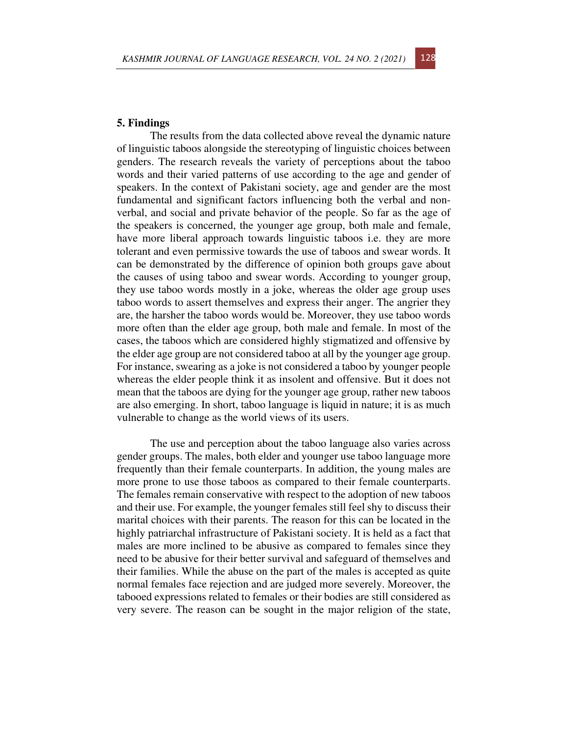The results from the data collected above reveal the dynamic nature of linguistic taboos alongside the stereotyping of linguistic choices between genders. The research reveals the variety of perceptions about the taboo words and their varied patterns of use according to the age and gender of speakers. In the context of Pakistani society, age and gender are the most fundamental and significant factors influencing both the verbal and nonverbal, and social and private behavior of the people. So far as the age of the speakers is concerned, the younger age group, both male and female, have more liberal approach towards linguistic taboos i.e. they are more tolerant and even permissive towards the use of taboos and swear words. It can be demonstrated by the difference of opinion both groups gave about the causes of using taboo and swear words. According to younger group, they use taboo words mostly in a joke, whereas the older age group uses taboo words to assert themselves and express their anger. The angrier they are, the harsher the taboo words would be. Moreover, they use taboo words more often than the elder age group, both male and female. In most of the cases, the taboos which are considered highly stigmatized and offensive by the elder age group are not considered taboo at all by the younger age group. For instance, swearing as a joke is not considered a taboo by younger people whereas the elder people think it as insolent and offensive. But it does not mean that the taboos are dying for the younger age group, rather new taboos are also emerging. In short, taboo language is liquid in nature; it is as much vulnerable to change as the world views of its users.

The use and perception about the taboo language also varies across gender groups. The males, both elder and younger use taboo language more frequently than their female counterparts. In addition, the young males are more prone to use those taboos as compared to their female counterparts. The females remain conservative with respect to the adoption of new taboos and their use. For example, the younger females still feel shy to discuss their marital choices with their parents. The reason for this can be located in the highly patriarchal infrastructure of Pakistani society. It is held as a fact that males are more inclined to be abusive as compared to females since they need to be abusive for their better survival and safeguard of themselves and their families. While the abuse on the part of the males is accepted as quite normal females face rejection and are judged more severely. Moreover, the tabooed expressions related to females or their bodies are still considered as very severe. The reason can be sought in the major religion of the state,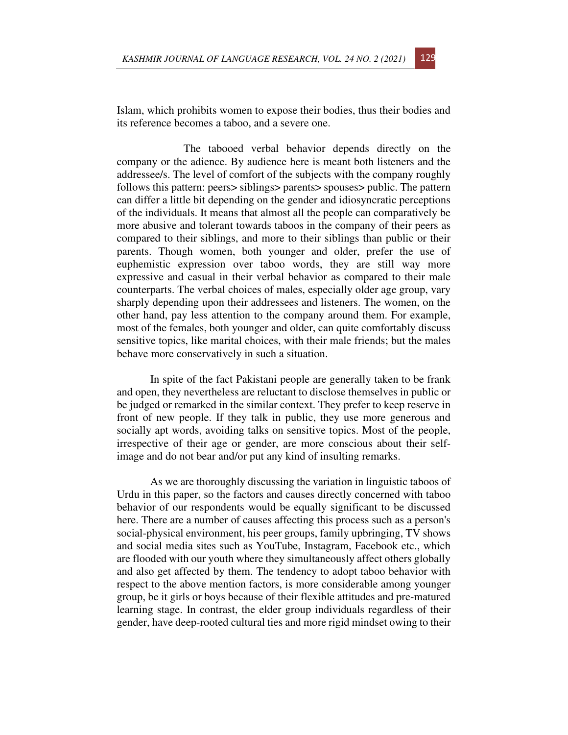Islam, which prohibits women to expose their bodies, thus their bodies and its reference becomes a taboo, and a severe one.

 The tabooed verbal behavior depends directly on the company or the adience. By audience here is meant both listeners and the addressee/s. The level of comfort of the subjects with the company roughly follows this pattern: peers> siblings> parents> spouses> public. The pattern can differ a little bit depending on the gender and idiosyncratic perceptions of the individuals. It means that almost all the people can comparatively be more abusive and tolerant towards taboos in the company of their peers as compared to their siblings, and more to their siblings than public or their parents. Though women, both younger and older, prefer the use of euphemistic expression over taboo words, they are still way more expressive and casual in their verbal behavior as compared to their male counterparts. The verbal choices of males, especially older age group, vary sharply depending upon their addressees and listeners. The women, on the other hand, pay less attention to the company around them. For example, most of the females, both younger and older, can quite comfortably discuss sensitive topics, like marital choices, with their male friends; but the males behave more conservatively in such a situation.

In spite of the fact Pakistani people are generally taken to be frank and open, they nevertheless are reluctant to disclose themselves in public or be judged or remarked in the similar context. They prefer to keep reserve in front of new people. If they talk in public, they use more generous and socially apt words, avoiding talks on sensitive topics. Most of the people, irrespective of their age or gender, are more conscious about their selfimage and do not bear and/or put any kind of insulting remarks.

As we are thoroughly discussing the variation in linguistic taboos of Urdu in this paper, so the factors and causes directly concerned with taboo behavior of our respondents would be equally significant to be discussed here. There are a number of causes affecting this process such as a person's social-physical environment, his peer groups, family upbringing, TV shows and social media sites such as YouTube, Instagram, Facebook etc., which are flooded with our youth where they simultaneously affect others globally and also get affected by them. The tendency to adopt taboo behavior with respect to the above mention factors, is more considerable among younger group, be it girls or boys because of their flexible attitudes and pre-matured learning stage. In contrast, the elder group individuals regardless of their gender, have deep-rooted cultural ties and more rigid mindset owing to their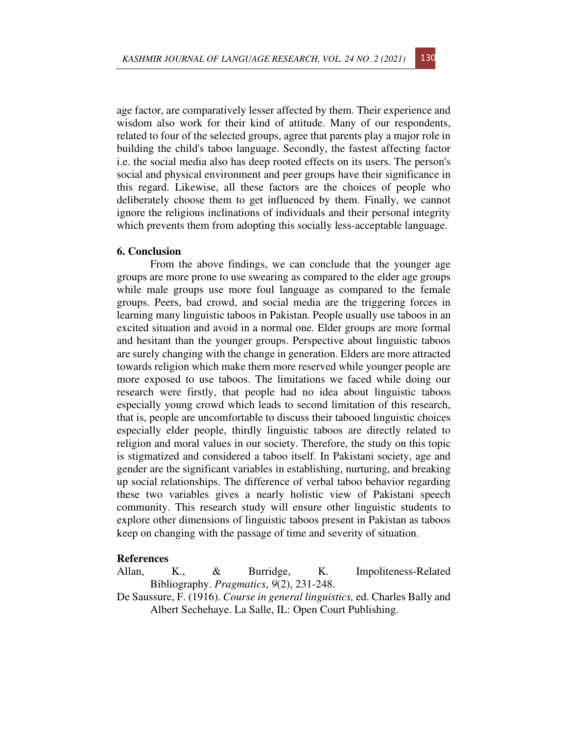age factor, are comparatively lesser affected by them. Their experience and wisdom also work for their kind of attitude. Many of our respondents, related to four of the selected groups, agree that parents play a major role in building the child's taboo language. Secondly, the fastest affecting factor i.e. the social media also has deep rooted effects on its users. The person's social and physical environment and peer groups have their significance in this regard. Likewise, all these factors are the choices of people who deliberately choose them to get influenced by them. Finally, we cannot ignore the religious inclinations of individuals and their personal integrity which prevents them from adopting this socially less-acceptable language.

## **6. Conclusion**

From the above findings, we can conclude that the younger age groups are more prone to use swearing as compared to the elder age groups while male groups use more foul language as compared to the female groups. Peers, bad crowd, and social media are the triggering forces in learning many linguistic taboos in Pakistan. People usually use taboos in an excited situation and avoid in a normal one. Elder groups are more formal and hesitant than the younger groups. Perspective about linguistic taboos are surely changing with the change in generation. Elders are more attracted towards religion which make them more reserved while younger people are more exposed to use taboos. The limitations we faced while doing our research were firstly, that people had no idea about linguistic taboos especially young crowd which leads to second limitation of this research, that is, people are uncomfortable to discuss their tabooed linguistic choices especially elder people, thirdly linguistic taboos are directly related to religion and moral values in our society. Therefore, the study on this topic is stigmatized and considered a taboo itself. In Pakistani society, age and gender are the significant variables in establishing, nurturing, and breaking up social relationships. The difference of verbal taboo behavior regarding these two variables gives a nearly holistic view of Pakistani speech community. This research study will ensure other linguistic students to explore other dimensions of linguistic taboos present in Pakistan as taboos keep on changing with the passage of time and severity of situation.

### **References**

- Allan, K., & Burridge, K. Impoliteness-Related Bibliography. *Pragmatics*, *9*(2), 231-248.
- De Saussure, F. (1916). *Course in general linguistics,* ed. Charles Bally and Albert Sechehaye. La Salle, IL: Open Court Publishing.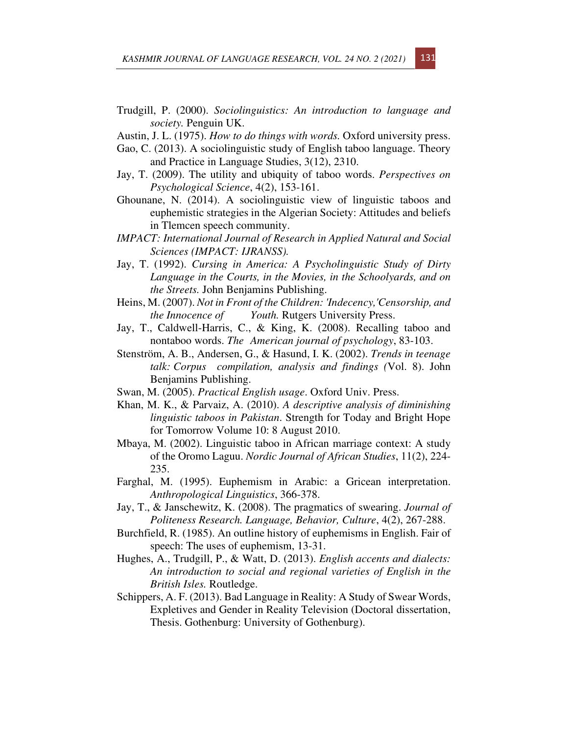- Trudgill, P. (2000). *Sociolinguistics: An introduction to language and society.* Penguin UK.
- Austin, J. L. (1975). *How to do things with words.* Oxford university press.
- Gao, C. (2013). A sociolinguistic study of English taboo language. Theory and Practice in Language Studies, 3(12), 2310.
- Jay, T. (2009). The utility and ubiquity of taboo words. *Perspectives on Psychological Science*, 4(2), 153-161.
- Ghounane, N. (2014). A sociolinguistic view of linguistic taboos and euphemistic strategies in the Algerian Society: Attitudes and beliefs in Tlemcen speech community.
- *IMPACT: International Journal of Research in Applied Natural and Social Sciences (IMPACT: IJRANSS).*
- Jay, T. (1992). *Cursing in America: A Psycholinguistic Study of Dirty Language in the Courts, in the Movies, in the Schoolyards, and on the Streets.* John Benjamins Publishing.
- Heins, M. (2007). *Not in Front of the Children: 'Indecency,'Censorship, and the Innocence of Youth.* Rutgers University Press.
- Jay, T., Caldwell-Harris, C., & King, K. (2008). Recalling taboo and nontaboo words. *The American journal of psychology*, 83-103.
- Stenström, A. B., Andersen, G., & Hasund, I. K. (2002). *Trends in teenage talk: Corpus compilation, analysis and findings (*Vol. 8). John Benjamins Publishing.
- Swan, M. (2005). *Practical English usage*. Oxford Univ. Press.
- Khan, M. K., & Parvaiz, A. (2010). *A descriptive analysis of diminishing linguistic taboos in Pakistan*. Strength for Today and Bright Hope for Tomorrow Volume 10: 8 August 2010.
- Mbaya, M. (2002). Linguistic taboo in African marriage context: A study of the Oromo Laguu. *Nordic Journal of African Studies*, 11(2), 224- 235.
- Farghal, M. (1995). Euphemism in Arabic: a Gricean interpretation. *Anthropological Linguistics*, 366-378.
- Jay, T., & Janschewitz, K. (2008). The pragmatics of swearing. *Journal of Politeness Research. Language, Behavior, Culture*, 4(2), 267-288.
- Burchfield, R. (1985). An outline history of euphemisms in English. Fair of speech: The uses of euphemism, 13-31.
- Hughes, A., Trudgill, P., & Watt, D. (2013). *English accents and dialects: An introduction to social and regional varieties of English in the British Isles.* Routledge.
- Schippers, A. F. (2013). Bad Language in Reality: A Study of Swear Words, Expletives and Gender in Reality Television (Doctoral dissertation, Thesis. Gothenburg: University of Gothenburg).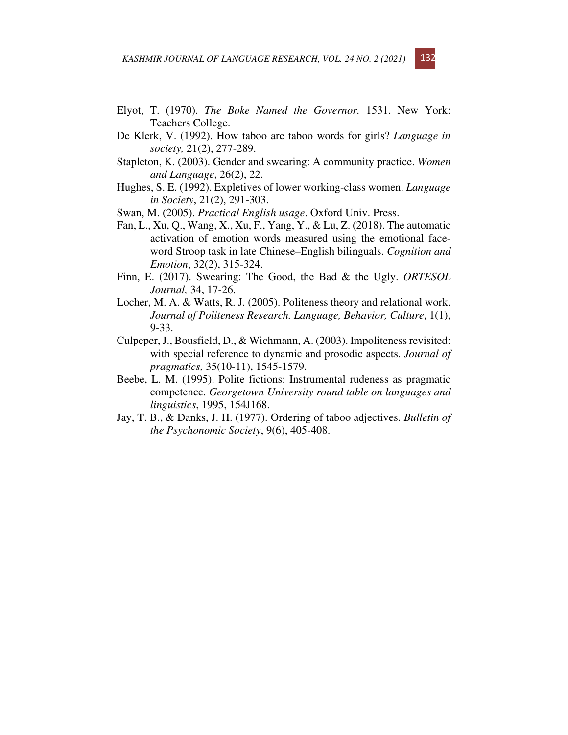- Elyot, T. (1970). *The Boke Named the Governor.* 1531. New York: Teachers College.
- De Klerk, V. (1992). How taboo are taboo words for girls? *Language in society,* 21(2), 277-289.
- Stapleton, K. (2003). Gender and swearing: A community practice. *Women and Language*, 26(2), 22.
- Hughes, S. E. (1992). Expletives of lower working-class women. *Language in Society*, 21(2), 291-303.

Swan, M. (2005). *Practical English usage*. Oxford Univ. Press.

- Fan, L., Xu, Q., Wang, X., Xu, F., Yang, Y., & Lu, Z. (2018). The automatic activation of emotion words measured using the emotional faceword Stroop task in late Chinese–English bilinguals. *Cognition and Emotion*, 32(2), 315-324.
- Finn, E. (2017). Swearing: The Good, the Bad & the Ugly. *ORTESOL Journal,* 34, 17-26.
- Locher, M. A. & Watts, R. J. (2005). Politeness theory and relational work. *Journal of Politeness Research. Language, Behavior, Culture*, 1(1), 9-33.
- Culpeper, J., Bousfield, D., & Wichmann, A. (2003). Impoliteness revisited: with special reference to dynamic and prosodic aspects. *Journal of pragmatics,* 35(10-11), 1545-1579.
- Beebe, L. M. (1995). Polite fictions: Instrumental rudeness as pragmatic competence. *Georgetown University round table on languages and linguistics*, 1995, 154J168.
- Jay, T. B., & Danks, J. H. (1977). Ordering of taboo adjectives. *Bulletin of the Psychonomic Society*, 9(6), 405-408.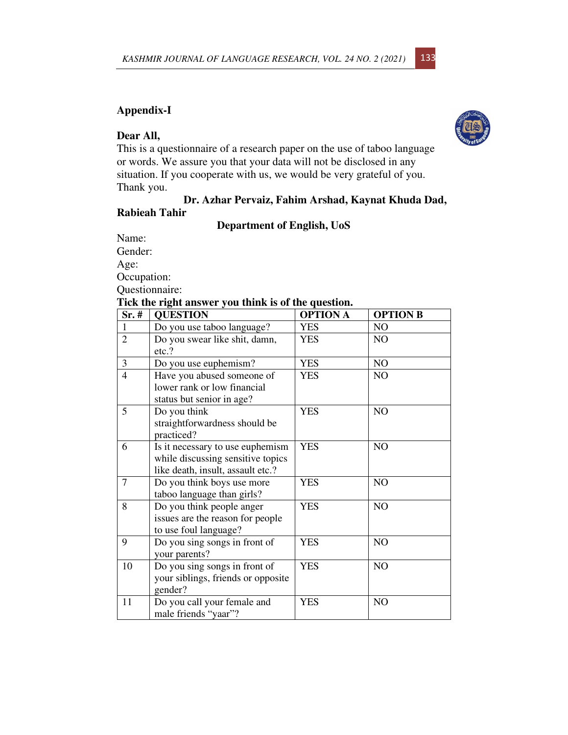# **Appendix-I**

# **Dear All,**

This is a questionnaire of a research paper on the use of taboo language or words. We assure you that your data will not be disclosed in any situation. If you cooperate with us, we would be very grateful of you. Thank you.

# **Dr. Azhar Pervaiz, Fahim Arshad, Kaynat Khuda Dad,**

# **Rabieah Tahir**

# **Department of English, UoS**

Name:

Gender:

Age:

Occupation:

Questionnaire:

# **Tick the right answer you think is of the question.**

| $Sr.$ #        | <b>QUESTION</b>                    | <b>OPTION A</b> | <b>OPTION B</b> |
|----------------|------------------------------------|-----------------|-----------------|
| $\mathbf{1}$   | Do you use taboo language?         | <b>YES</b>      | N <sub>O</sub>  |
| $\overline{2}$ | Do you swear like shit, damn,      | <b>YES</b>      | N <sub>O</sub>  |
|                | etc.?                              |                 |                 |
| $\overline{3}$ | Do you use euphemism?              | <b>YES</b>      | NO              |
| $\overline{4}$ | Have you abused someone of         | <b>YES</b>      | N <sub>O</sub>  |
|                | lower rank or low financial        |                 |                 |
|                | status but senior in age?          |                 |                 |
| 5              | Do you think                       | <b>YES</b>      | N <sub>O</sub>  |
|                | straightforwardness should be      |                 |                 |
|                | practiced?                         |                 |                 |
| 6              | Is it necessary to use euphemism   | <b>YES</b>      | N <sub>O</sub>  |
|                | while discussing sensitive topics  |                 |                 |
|                | like death, insult, assault etc.?  |                 |                 |
| 7              | Do you think boys use more         | <b>YES</b>      | N <sub>O</sub>  |
|                | taboo language than girls?         |                 |                 |
| 8              | Do you think people anger          | <b>YES</b>      | NO              |
|                | issues are the reason for people   |                 |                 |
|                | to use foul language?              |                 |                 |
| 9              | Do you sing songs in front of      | <b>YES</b>      | N <sub>O</sub>  |
|                | your parents?                      |                 |                 |
| 10             | Do you sing songs in front of      | <b>YES</b>      | NO              |
|                | your siblings, friends or opposite |                 |                 |
|                | gender?                            |                 |                 |
| 11             | Do you call your female and        | <b>YES</b>      | N <sub>O</sub>  |
|                | male friends "yaar"?               |                 |                 |



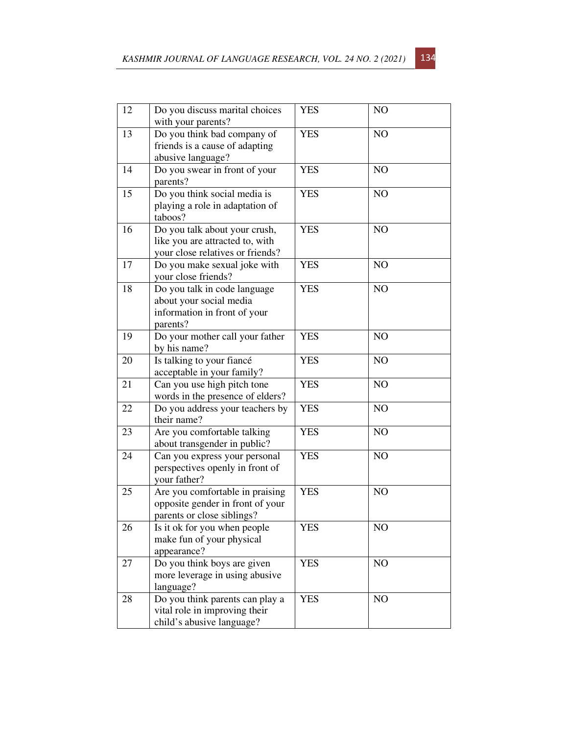| 12 | Do you discuss marital choices<br>with your parents?                                                 | <b>YES</b> | NO             |  |
|----|------------------------------------------------------------------------------------------------------|------------|----------------|--|
| 13 | Do you think bad company of<br>friends is a cause of adapting<br>abusive language?                   | <b>YES</b> | NO             |  |
| 14 | Do you swear in front of your<br>parents?                                                            | <b>YES</b> | N <sub>O</sub> |  |
| 15 | Do you think social media is<br>playing a role in adaptation of<br>taboos?                           | <b>YES</b> | NO             |  |
| 16 | Do you talk about your crush,<br>like you are attracted to, with<br>your close relatives or friends? | <b>YES</b> | N <sub>O</sub> |  |
| 17 | Do you make sexual joke with<br>your close friends?                                                  | <b>YES</b> | NO             |  |
| 18 | Do you talk in code language<br>about your social media<br>information in front of your<br>parents?  | <b>YES</b> | N <sub>O</sub> |  |
| 19 | Do your mother call your father<br>by his name?                                                      | <b>YES</b> | NO             |  |
| 20 | Is talking to your fiancé<br>acceptable in your family?                                              | <b>YES</b> | N <sub>O</sub> |  |
| 21 | Can you use high pitch tone<br>words in the presence of elders?                                      | <b>YES</b> | NO             |  |
| 22 | Do you address your teachers by<br>their name?                                                       | <b>YES</b> | N <sub>O</sub> |  |
| 23 | Are you comfortable talking<br>about transgender in public?                                          | <b>YES</b> | NO             |  |
| 24 | Can you express your personal<br>perspectives openly in front of<br>your father?                     | <b>YES</b> | NO             |  |
| 25 | Are you comfortable in praising<br>opposite gender in front of your<br>parents or close siblings?    | <b>YES</b> | NO             |  |
| 26 | Is it ok for you when people<br>make fun of your physical<br>appearance?                             | <b>YES</b> | N <sub>O</sub> |  |
| 27 | Do you think boys are given<br>more leverage in using abusive<br>language?                           | <b>YES</b> | NO             |  |
| 28 | Do you think parents can play a<br>vital role in improving their<br>child's abusive language?        | <b>YES</b> | N <sub>O</sub> |  |